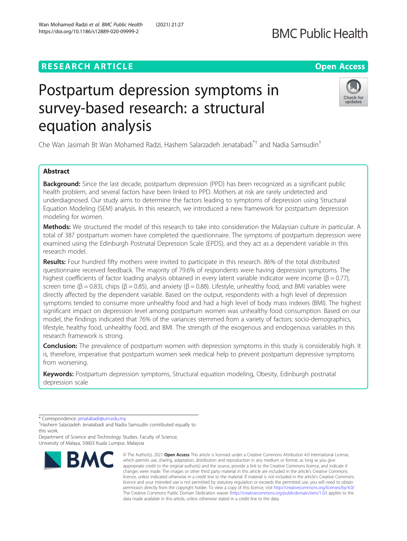# **RESEARCH ARTICLE Example 2014 12:30 The Contract of Contract ACCESS**

# Postpartum depression symptoms in survey-based research: a structural equation analysis

Che Wan Jasimah Bt Wan Mohamed Radzi, Hashem Salarzadeh Jenatabadi\*† and Nadia Samsudin†

# Abstract

**Background:** Since the last decade, postpartum depression (PPD) has been recognized as a significant public health problem, and several factors have been linked to PPD. Mothers at risk are rarely undetected and underdiagnosed. Our study aims to determine the factors leading to symptoms of depression using Structural Equation Modeling (SEM) analysis. In this research, we introduced a new framework for postpartum depression modeling for women.

Methods: We structured the model of this research to take into consideration the Malaysian culture in particular. A total of 387 postpartum women have completed the questionnaire. The symptoms of postpartum depression were examined using the Edinburgh Postnatal Depression Scale (EPDS), and they act as a dependent variable in this research model.

Results: Four hundred fifty mothers were invited to participate in this research. 86% of the total distributed questionnaire received feedback. The majority of 79.6% of respondents were having depression symptoms. The highest coefficients of factor loading analysis obtained in every latent variable indicator were income (β = 0.77), screen time ( $\beta$  = 0.83), chips ( $\beta$  = 0.85), and anxiety ( $\beta$  = 0.88). Lifestyle, unhealthy food, and BMI variables were directly affected by the dependent variable. Based on the output, respondents with a high level of depression symptoms tended to consume more unhealthy food and had a high level of body mass indexes (BMI). The highest significant impact on depression level among postpartum women was unhealthy food consumption. Based on our model, the findings indicated that 76% of the variances stemmed from a variety of factors: socio-demographics, lifestyle, healthy food, unhealthy food, and BMI. The strength of the exogenous and endogenous variables in this research framework is strong.

**Conclusion:** The prevalence of postpartum women with depression symptoms in this study is considerably high. It is, therefore, imperative that postpartum women seek medical help to prevent postpartum depressive symptoms from worsening.

Keywords: Postpartum depression symptoms, Structural equation modeling, Obesity, Edinburgh postnatal depression scale

\* Correspondence: [jenatabadi@um.edu.my](mailto:jenatabadi@um.edu.my) †

Department of Science and Technology Studies, Faculty of Science,

**BMC** 

University of Malaya, 50603 Kuala Lumpur, Malaysia





<sup>©</sup> The Author(s), 2021 **Open Access** This article is licensed under a Creative Commons Attribution 4.0 International License, which permits use, sharing, adaptation, distribution and reproduction in any medium or format, as long as you give appropriate credit to the original author(s) and the source, provide a link to the Creative Commons licence, and indicate if changes were made. The images or other third party material in this article are included in the article's Creative Commons licence, unless indicated otherwise in a credit line to the material. If material is not included in the article's Creative Commons licence and your intended use is not permitted by statutory regulation or exceeds the permitted use, you will need to obtain permission directly from the copyright holder. To view a copy of this licence, visit [http://creativecommons.org/licenses/by/4.0/.](http://creativecommons.org/licenses/by/4.0/) The Creative Commons Public Domain Dedication waiver [\(http://creativecommons.org/publicdomain/zero/1.0/](http://creativecommons.org/publicdomain/zero/1.0/)) applies to the data made available in this article, unless otherwise stated in a credit line to the data.

Hashem Salarzadeh Jenatabadi and Nadia Samsudin contributed equally to this work.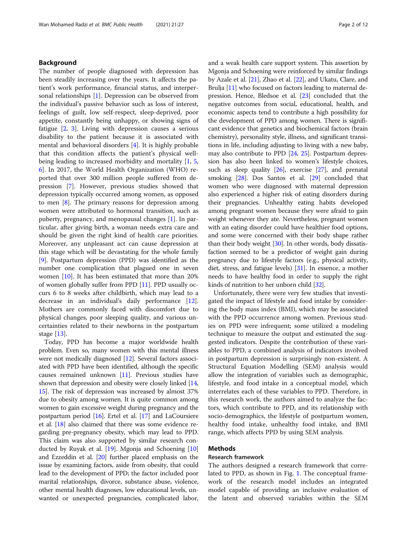# Background

The number of people diagnosed with depression has been steadily increasing over the years. It affects the patient's work performance, financial status, and interpersonal relationships [\[1](#page-9-0)]. Depression can be observed from the individual's passive behavior such as loss of interest, feelings of guilt, low self-respect, sleep-deprived, poor appetite, constantly being unhappy, or showing signs of fatigue [\[2](#page-9-0), [3](#page-9-0)]. Living with depression causes a serious disability to the patient because it is associated with mental and behavioral disorders [[4\]](#page-9-0). It is highly probable that this condition affects the patient's physical wellbeing leading to increased morbidity and mortality  $[1, 5, 5]$  $[1, 5, 5]$  $[1, 5, 5]$  $[1, 5, 5]$ [6\]](#page-9-0). In 2017, the World Health Organization (WHO) reported that over 300 million people suffered from depression [\[7](#page-9-0)]. However, previous studies showed that depression typically occurred among women, as opposed to men [\[8](#page-9-0)]. The primary reasons for depression among women were attributed to hormonal transition, such as puberty, pregnancy, and menopausal changes [[1\]](#page-9-0). In particular, after giving birth, a woman needs extra care and should be given the right kind of health care priorities. Moreover, any unpleasant act can cause depression at this stage which will be devastating for the whole family [[9\]](#page-9-0). Postpartum depression (PPD) was identified as the number one complication that plagued one in seven women [[10](#page-9-0)]. It has been estimated that more than 20% of women globally suffer from PPD [\[11](#page-9-0)]. PPD usually occurs 6 to 8 weeks after childbirth, which may lead to a decrease in an individual's daily performance [\[12](#page-9-0)]. Mothers are commonly faced with discomfort due to physical changes, poor sleeping quality, and various uncertainties related to their newborns in the postpartum stage [\[13](#page-9-0)].

Today, PPD has become a major worldwide health problem. Even so, many women with this mental illness were not medically diagnosed [[12](#page-9-0)]. Several factors associated with PPD have been identified, although the specific causes remained unknown [\[11\]](#page-9-0). Previous studies have shown that depression and obesity were closely linked [[14](#page-9-0), [15](#page-9-0)]. The risk of depression was increased by almost 37% due to obesity among women. It is quite common among women to gain excessive weight during pregnancy and the postpartum period [\[16\]](#page-9-0). Ertel et al. [\[17\]](#page-9-0) and LaCoursiere et al. [\[18](#page-9-0)] also claimed that there was some evidence regarding pre-pregnancy obesity, which may lead to PPD. This claim was also supported by similar research conducted by Ruyak et al. [\[19\]](#page-9-0). Mgonja and Schoening [[10](#page-9-0)] and Ezzeddin et al. [[20](#page-9-0)] further placed emphasis on the issue by examining factors, aside from obesity, that could lead to the development of PPD; the factor included poor marital relationships, divorce, substance abuse, violence, other mental health diagnoses, low educational levels, unwanted or unexpected pregnancies, complicated labor, and a weak health care support system. This assertion by Mgonja and Schoening were reinforced by similar findings by Azale et al. [[21](#page-9-0)], Zhao et al. [\[22\]](#page-9-0), and Ukatu, Clare, and Brulja [\[11\]](#page-9-0) who focused on factors leading to maternal depression. Hence, Bledsoe et al. [[23](#page-9-0)] concluded that the negative outcomes from social, educational, health, and economic aspects tend to contribute a high possibility for the development of PPD among women. There is significant evidence that genetics and biochemical factors (brain chemistry), personality style, illness, and significant transitions in life, including adjusting to living with a new baby, may also contribute to PPD [\[24,](#page-9-0) [25](#page-9-0)]. Postpartum depression has also been linked to women's lifestyle choices, such as sleep quality [\[26\]](#page-9-0), exercise [\[27\]](#page-9-0), and prenatal smoking [\[28\]](#page-9-0). Dos Santos et al. [\[29\]](#page-9-0) concluded that women who were diagnosed with maternal depression also experienced a higher risk of eating disorders during their pregnancies. Unhealthy eating habits developed among pregnant women because they were afraid to gain weight whenever they ate. Nevertheless, pregnant women with an eating disorder could have healthier food options, and some were concerned with their body shape rather than their body weight [[30](#page-9-0)]. In other words, body dissatisfaction seemed to be a predictor of weight gain during pregnancy due to lifestyle factors (e.g., physical activity, diet, stress, and fatigue levels) [\[31\]](#page-9-0). In essence, a mother needs to have healthy food in order to supply the right kinds of nutrition to her unborn child [\[32](#page-10-0)].

Unfortunately, there were very few studies that investigated the impact of lifestyle and food intake by considering the body mass index (BMI), which may be associated with the PPD occurrence among women. Previous studies on PPD were infrequent; some utilized a modeling technique to measure the output and estimated the suggested indicators. Despite the contribution of these variables to PPD, a combined analysis of indicators involved in postpartum depression is surprisingly non-existent. A Structural Equation Modelling (SEM) analysis would allow the integration of variables such as demographic, lifestyle, and food intake in a conceptual model, which interrelates each of these variables to PPD. Therefore, in this research work, the authors aimed to analyze the factors, which contribute to PPD, and its relationship with socio-demographics, the lifestyle of postpartum women, healthy food intake, unhealthy food intake, and BMI range, which affects PPD by using SEM analysis.

# Methods

# Research framework

The authors designed a research framework that correlated to PPD, as shown in Fig. [1.](#page-2-0) The conceptual framework of the research model includes an integrated model capable of providing an inclusive evaluation of the latent and observed variables within the SEM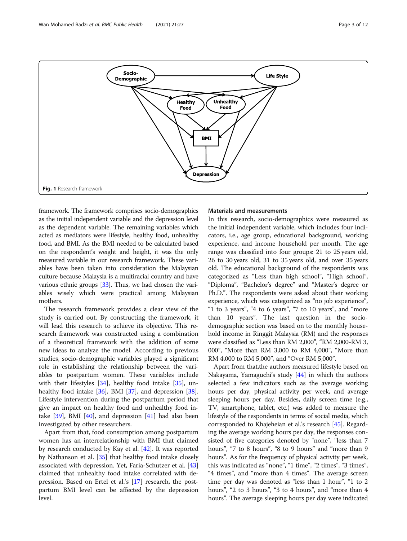<span id="page-2-0"></span>

framework. The framework comprises socio-demographics as the initial independent variable and the depression level as the dependent variable. The remaining variables which acted as mediators were lifestyle, healthy food, unhealthy food, and BMI. As the BMI needed to be calculated based on the respondent's weight and height, it was the only measured variable in our research framework. These variables have been taken into consideration the Malaysian culture because Malaysia is a multiracial country and have various ethnic groups [[33](#page-10-0)]. Thus, we had chosen the variables wisely which were practical among Malaysian mothers.

The research framework provides a clear view of the study is carried out. By constructing the framework, it will lead this research to achieve its objective. This research framework was constructed using a combination of a theoretical framework with the addition of some new ideas to analyze the model. According to previous studies, socio-demographic variables played a significant role in establishing the relationship between the variables to postpartum women. These variables include with their lifestyles [[34\]](#page-10-0), healthy food intake [\[35](#page-10-0)], un-healthy food intake [[36](#page-10-0)], BMI [\[37](#page-10-0)], and depression [\[38](#page-10-0)]. Lifestyle intervention during the postpartum period that give an impact on healthy food and unhealthy food intake  $[39]$  $[39]$ , BMI  $[40]$  $[40]$  $[40]$ , and depression  $[41]$  had also been investigated by other researchers.

Apart from that, food consumption among postpartum women has an interrelationship with BMI that claimed by research conducted by Kay et al. [[42](#page-10-0)]. It was reported by Nathanson et al. [\[35](#page-10-0)] that healthy food intake closely associated with depression. Yet, Faria-Schutzer et al. [[43](#page-10-0)] claimed that unhealthy food intake correlated with depression. Based on Ertel et al.'s [[17\]](#page-9-0) research, the postpartum BMI level can be affected by the depression level.

#### Materials and measurements

In this research, socio-demographics were measured as the initial independent variable, which includes four indicators, i.e., age group, educational background, working experience, and income household per month. The age range was classified into four groups: 21 to 25 years old, 26 to 30 years old, 31 to 35 years old, and over 35 years old. The educational background of the respondents was categorized as "Less than high school", "High school", "Diploma", "Bachelor's degree" and "Master's degree or Ph.D.". The respondents were asked about their working experience, which was categorized as "no job experience", "1 to 3 years", "4 to 6 years", "7 to 10 years", and "more than 10 years". The last question in the sociodemographic section was based on to the monthly household income in Ringgit Malaysia (RM) and the responses were classified as "Less than RM 2,000", "RM 2,000-RM 3, 000", "More than RM 3,000 to RM 4,000", "More than RM 4,000 to RM 5,000", and "Over RM 5,000".

Apart from that,the authors measured lifestyle based on Nakayama, Yamaguchi's study [\[44\]](#page-10-0) in which the authors selected a few indicators such as the average working hours per day, physical activity per week, and average sleeping hours per day. Besides, daily screen time (e.g., TV, smartphone, tablet, etc.) was added to measure the lifestyle of the respondents in terms of social media, which corresponded to Khajeheian et al.'s research [\[45\]](#page-10-0). Regarding the average working hours per day, the responses consisted of five categories denoted by "none", "less than 7 hours", "7 to 8 hours", "8 to 9 hours" and "more than 9 hours". As for the frequency of physical activity per week, this was indicated as "none", "1 time", "2 times", "3 times", "4 times", and "more than 4 times". The average screen time per day was denoted as "less than 1 hour", "1 to 2 hours", "2 to 3 hours", "3 to 4 hours", and "more than 4 hours". The average sleeping hours per day were indicated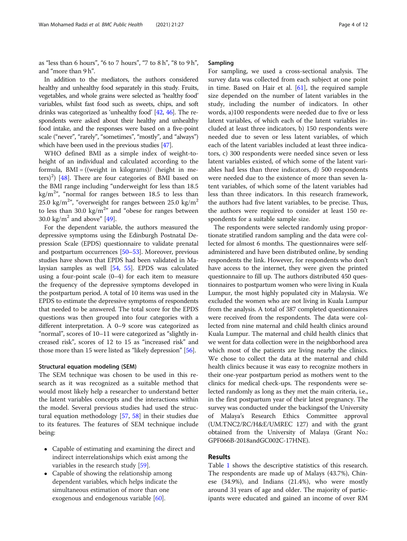as "less than 6 hours", "6 to 7 hours", "7 to 8 h", "8 to 9 h", and "more than 9 h".

In addition to the mediators, the authors considered healthy and unhealthy food separately in this study. Fruits, vegetables, and whole grains were selected as 'healthy food' variables, whilst fast food such as sweets, chips, and soft drinks was categorized as 'unhealthy food' [[42](#page-10-0), [46\]](#page-10-0). The respondents were asked about their healthy and unhealthy food intake, and the responses were based on a five-point scale ("never", "rarely", "sometimes", "mostly", and "always") which have been used in the previous studies [[47\]](#page-10-0).

WHO defined BMI as a simple index of weight-toheight of an individual and calculated according to the formula,  $BMI = ((weight in kilograms)/ (height in me-$ ters)<sup>2</sup>) [[48\]](#page-10-0). There are four categories of BMI based on the BMI range including "underweight for less than 18.5  $\text{kg/m}^{2n}$ , "normal for ranges between 18.5 to less than 25.0 kg/m<sup>2</sup>", "overweight for ranges between 25.0 kg/m<sup>2</sup> to less than 30.0  $\text{kg/m}^2$ " and "obese for ranges between 30.0 kg/ $m^2$  and above" [[49](#page-10-0)].

For the dependent variable, the authors measured the depressive symptoms using the Edinburgh Postnatal Depression Scale (EPDS) questionnaire to validate prenatal and postpartum occurrences [[50](#page-10-0)–[53\]](#page-10-0). Moreover, previous studies have shown that EPDS had been validated in Malaysian samples as well [\[54](#page-10-0), [55](#page-10-0)]. EPDS was calculated using a four-point scale (0–4) for each item to measure the frequency of the depressive symptoms developed in the postpartum period. A total of 10 items was used in the EPDS to estimate the depressive symptoms of respondents that needed to be answered. The total score for the EPDS questions was then grouped into four categories with a different interpretation. A 0–9 score was categorized as "normal", scores of 10–11 were categorized as "slightly increased risk", scores of 12 to 15 as "increased risk" and those more than 15 were listed as "likely depression" [\[56\]](#page-10-0).

#### Structural equation modeling (SEM)

The SEM technique was chosen to be used in this research as it was recognized as a suitable method that would most likely help a researcher to understand better the latent variables concepts and the interactions within the model. Several previous studies had used the structural equation methodology [\[57,](#page-10-0) [58](#page-10-0)] in their studies due to its features. The features of SEM technique include being:

- Capable of estimating and examining the direct and indirect interrelationships which exist among the variables in the research study [[59\]](#page-10-0).
- Capable of showing the relationship among dependent variables, which helps indicate the simultaneous estimation of more than one exogenous and endogenous variable [\[60\]](#page-10-0).

# Sampling

For sampling, we used a cross-sectional analysis. The survey data was collected from each subject at one point in time. Based on Hair et al. [[61\]](#page-10-0), the required sample size depended on the number of latent variables in the study, including the number of indicators. In other words, a)100 respondents were needed due to five or less latent variables, of which each of the latent variables included at least three indicators, b) 150 respondents were needed due to seven or less latent variables, of which each of the latent variables included at least three indicators, c) 300 respondents were needed since seven or less latent variables existed, of which some of the latent variables had less than three indicators, d) 500 respondents were needed due to the existence of more than seven latent variables, of which some of the latent variables had less than three indicators. In this research framework, the authors had five latent variables, to be precise. Thus, the authors were required to consider at least 150 respondents for a suitable sample size.

The respondents were selected randomly using proportionate stratified random sampling and the data were collected for almost 6 months. The questionnaires were selfadministered and have been distributed online, by sending respondents the link. However, for respondents who don't have access to the internet, they were given the printed questionnaire to fill up. The authors distributed 450 questionnaires to postpartum women who were living in Kuala Lumpur, the most highly populated city in Malaysia. We excluded the women who are not living in Kuala Lumpur from the analysis. A total of 387 completed questionnaires were received from the respondents. The data were collected from nine maternal and child health clinics around Kuala Lumpur. The maternal and child health clinics that we went for data collection were in the neighborhood area which most of the patients are living nearby the clinics. We chose to collect the data at the maternal and child health clinics because it was easy to recognize mothers in their one-year postpartum period as mothers went to the clinics for medical check-ups. The respondents were selected randomly as long as they met the main criteria, i.e., in the first postpartum year of their latest pregnancy. The survey was conducted under the backingsof the University of Malaya's Research Ethics Committee approval (UM.TNC2/RC/H&E/UMREC 127) and with the grant obtained from the University of Malaya (Grant No.: GPF066B-2018andGC002C-17HNE).

### Results

Table [1](#page-4-0) shows the descriptive statistics of this research. The respondents are made up of Malays (43.7%), Chinese (34.9%), and Indians (21.4%), who were mostly around 31 years of age and older. The majority of participants were educated and gained an income of over RM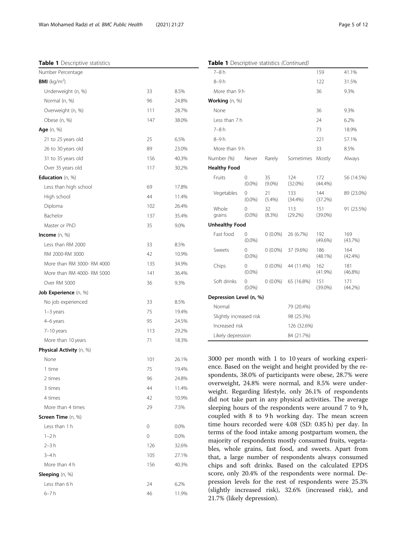#### <span id="page-4-0"></span>Table 1 Descriptive statistics

| Number Percentage               |     |       |
|---------------------------------|-----|-------|
| <b>BMI</b> (kg/m <sup>2</sup> ) |     |       |
| Underweight (n, %)              | 33  | 8.5%  |
| Normal (n, %)                   | 96  | 24.8% |
| Overweight (n, %)               | 111 | 28.7% |
| Obese (n, %)                    | 147 | 38.0% |
| Age (n, %)                      |     |       |
| 21 to 25 years old              | 25  | 6.5%  |
| 26 to 30 years old              | 89  | 23.0% |
| 31 to 35 years old              | 156 | 40.3% |
| Over 35 years old               | 117 | 30.2% |
| Education (n, %)                |     |       |
| Less than high school           | 69  | 17.8% |
| High school                     | 44  | 11.4% |
| Diploma                         | 102 | 26.4% |
| Bachelor                        | 137 | 35.4% |
| Master or PhD                   | 35  | 9.0%  |
| Income (n, %)                   |     |       |
| Less than RM 2000               | 33  | 8.5%  |
| RM 2000-RM 3000                 | 42  | 10.9% |
| More than RM 3000- RM 4000      | 135 | 34.9% |
| More than RM 4000- RM 5000      | 141 | 36.4% |
| Over RM 5000                    | 36  | 9.3%  |
| Job Experience (n, %)           |     |       |
| No job experienced              | 33  | 8.5%  |
| $1-3$ years                     | 75  | 19.4% |
| 4-6 years                       | 95  | 24.5% |
| 7-10 years                      | 113 | 29.2% |
| More than 10 years              | 71  | 18.3% |
| Physical Activity (n, %)        |     |       |
| None                            | 101 | 26.1% |
| 1 time                          | 75  | 19.4% |
| 2 times                         | 96  | 24.8% |
| 3 times                         | 44  | 11.4% |
| 4 times                         | 42  | 10.9% |
| More than 4 times               | 29  | 7.5%  |
| Screen Time (n, %)              |     |       |
| Less than 1 h                   | 0   | 0.0%  |
| $1 - 2h$                        | 0   | 0.0%  |
| $2 - 3h$                        | 126 | 32.6% |
| $3-4h$                          | 105 | 27.1% |
| More than 4 h                   | 156 | 40.3% |
| Sleeping (n, %)                 |     |       |
| Less than 6 h                   | 24  | 6.2%  |
| 6–7 h                           | 46  | 11.9% |
|                                 |     |       |

| <b>Table 1</b> Descriptive statistics (Corrillinga) |                       |                 |                   |                   |                   |
|-----------------------------------------------------|-----------------------|-----------------|-------------------|-------------------|-------------------|
| 7–8 h                                               |                       |                 |                   | 159               | 41.1%             |
| 8-9 h                                               |                       |                 |                   | 122               | 31.5%             |
| More than 9 h                                       |                       |                 |                   | 36                | 9.3%              |
| Working (n, %)                                      |                       |                 |                   |                   |                   |
| None                                                |                       |                 |                   | 36                | 9.3%              |
| Less than 7 h                                       |                       |                 |                   | 24                | 6.2%              |
| $7-8h$                                              |                       |                 |                   | 73                | 18.9%             |
| 8-9 h                                               |                       |                 |                   | 221               | 57.1%             |
| More than 9 h                                       |                       |                 |                   | 33                | 8.5%              |
| Number (%)                                          | Never                 | Rarely          | Sometimes         | Mostly            | Always            |
| <b>Healthy Food</b>                                 |                       |                 |                   |                   |                   |
| Fruits                                              | 0<br>$(0.0\%)$        | 35<br>$(9.0\%)$ | 124<br>$(32.0\%)$ | 172<br>(44.4%)    | 56 (14.5%)        |
| Vegetables                                          | 0<br>$(0.0\%)$        | 21<br>(5.4%)    | 133<br>(34.4%)    | 144<br>(37.2%)    | 89 (23.0%)        |
| Whole<br>grains                                     | 0<br>$(0.0\%)$        | 32<br>(8.3%)    | 113<br>(29.2%)    | 151<br>$(39.0\%)$ | 91 (23.5%)        |
| <b>Unhealthy Food</b>                               |                       |                 |                   |                   |                   |
| Fast food                                           | $\Omega$<br>$(0.0\%)$ | $0(0.0\%)$      | 26 (6.7%)         | 192<br>$(49.6\%)$ | 169<br>(43.7%)    |
| Sweets                                              | 0<br>$(0.0\%)$        | $0(0.0\%)$      | 37 (9.6%)         | 186<br>$(48.1\%)$ | 164<br>$(42.4\%)$ |
| Chips                                               | 0<br>$(0.0\%)$        | $0(0.0\%)$      | 44 (11.4%)        | 162<br>(41.9%)    | 181<br>$(46.8\%)$ |
| Soft drinks                                         | 0<br>$(0.0\%)$        | $0(0.0\%)$      | 65 (16.8%)        | 151<br>$(39.0\%)$ | 171<br>(44.2%)    |
| Depression Level (n, %)                             |                       |                 |                   |                   |                   |
| Normal                                              |                       |                 | 79 (20.4%)        |                   |                   |
| Slightly increased risk                             |                       | 98 (25.3%)      |                   |                   |                   |
| Increased risk                                      |                       | 126 (32.6%)     |                   |                   |                   |
| Likely depression                                   |                       | 84 (21.7%)      |                   |                   |                   |

Table 1 Descriptive statistics (Continued)

3000 per month with 1 to 10 years of working experience. Based on the weight and height provided by the respondents, 38.0% of participants were obese, 28.7% were overweight, 24.8% were normal, and 8.5% were underweight. Regarding lifestyle, only 26.1% of respondents did not take part in any physical activities. The average sleeping hours of the respondents were around 7 to 9 h, coupled with 8 to 9h working day. The mean screen time hours recorded were 4.08 (SD: 0.85 h) per day. In terms of the food intake among postpartum women, the majority of respondents mostly consumed fruits, vegetables, whole grains, fast food, and sweets. Apart from that, a large number of respondents always consumed chips and soft drinks. Based on the calculated EPDS score, only 20.4% of the respondents were normal. Depression levels for the rest of respondents were 25.3% (slightly increased risk), 32.6% (increased risk), and 21.7% (likely depression).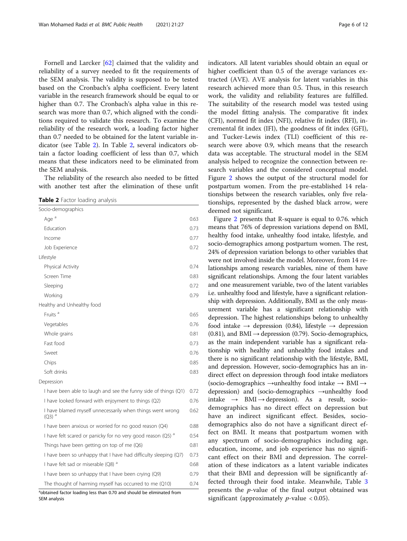<span id="page-5-0"></span>Fornell and Larcker [[62\]](#page-10-0) claimed that the validity and reliability of a survey needed to fit the requirements of the SEM analysis. The validity is supposed to be tested based on the Cronbach's alpha coefficient. Every latent variable in the research framework should be equal to or higher than 0.7. The Cronbach's alpha value in this research was more than 0.7, which aligned with the conditions required to validate this research. To examine the reliability of the research work, a loading factor higher than 0.7 needed to be obtained for the latent variable indicator (see Table 2). In Table 2, several indicators obtain a factor loading coefficient of less than 0.7, which means that these indicators need to be eliminated from the SEM analysis.

The reliability of the research also needed to be fitted with another test after the elimination of these unfit

Table 2 Factor loading analysis

| Socio-demographics                                                                |      |
|-----------------------------------------------------------------------------------|------|
| Age <sup>a</sup>                                                                  | 0.63 |
| Education                                                                         | 0.73 |
| Income                                                                            | 0.77 |
| Job Experience                                                                    | 0.72 |
| Lifestyle                                                                         |      |
| Physical Activity                                                                 | 0.74 |
| Screen Time                                                                       | 0.83 |
| Sleeping                                                                          | 0.72 |
| Working                                                                           | 0.79 |
| Healthy and Unhealthy food                                                        |      |
| Fruits <sup>a</sup>                                                               | 0.65 |
| Vegetables                                                                        | 0.76 |
| Whole grains                                                                      | 0.81 |
| Fast food                                                                         | 0.73 |
| Sweet                                                                             | 0.76 |
| Chips                                                                             | 0.85 |
| Soft drinks                                                                       | 0.83 |
| Depression                                                                        |      |
| I have been able to laugh and see the funny side of things (Q1)                   | 0.72 |
| I have looked forward with enjoyment to things (Q2)                               | 0.76 |
| I have blamed myself unnecessarily when things went wrong<br>$(O3)$ <sup>a</sup>  | 0.62 |
| I have been anxious or worried for no good reason (Q4)                            | 0.88 |
| I have felt scared or panicky for no very good reason (Q5) <sup>a</sup>           | 0.54 |
| Things have been getting on top of me (Q6)                                        | 0.81 |
| I have been so unhappy that I have had difficulty sleeping (Q7)                   | 0.73 |
| I have felt sad or miserable (Q8) <sup>a</sup>                                    | 0.68 |
| I have been so unhappy that I have been crying (Q9)                               | 0.79 |
| The thought of harming myself has occurred to me (Q10)                            | 0.74 |
| <sup>a</sup> obtained factor loading less than 0.70 and should be eliminated from |      |

SEM analysis

indicators. All latent variables should obtain an equal or higher coefficient than 0.5 of the average variances extracted (AVE). AVE analysis for latent variables in this research achieved more than 0.5. Thus, in this research work, the validity and reliability features are fulfilled. The suitability of the research model was tested using the model fitting analysis. The comparative fit index (CFI), normed fit index (NFI), relative fit index (RFI), incremental fit index (IFI), the goodness of fit index (GFI), and Tucker-Lewis index (TLI) coefficient of this research were above 0.9, which means that the research data was acceptable. The structural model in the SEM analysis helped to recognize the connection between research variables and the considered conceptual model. Figure [2](#page-6-0) shows the output of the structural model for postpartum women. From the pre-established 14 relationships between the research variables, only five relationships, represented by the dashed black arrow, were deemed not significant.

Figure [2](#page-6-0) presents that R-square is equal to 0.76. which means that 76% of depression variations depend on BMI, healthy food intake, unhealthy food intake, lifestyle, and socio-demographics among postpartum women. The rest, 24% of depression variation belongs to other variables that were not involved inside the model. Moreover, from 14 relationships among research variables, nine of them have significant relationships. Among the four latent variables and one measurement variable, two of the latent variables i.e. unhealthy food and lifestyle, have a significant relationship with depression. Additionally, BMI as the only measurement variable has a significant relationship with depression. The highest relationships belong to unhealthy food intake  $\rightarrow$  depression (0.84), lifestyle  $\rightarrow$  depression (0.81), and BMI  $\rightarrow$  depression (0.79). Socio-demographics, as the main independent variable has a significant relationship with healthy and unhealthy food intakes and there is no significant relationship with the lifestyle, BMI, and depression. However, socio-demographics has an indirect effect on depression through food intake mediators (socio-demographics  $\rightarrow$ unhealthy food intake  $\rightarrow$  BMI $\rightarrow$ depression) and (socio-demographics →unhealthy food intake → BMI → depression). As a result, sociodemographics has no direct effect on depression but have an indirect significant effect. Besides, sociodemographics also do not have a significant direct effect on BMI. It means that postpartum women with any spectrum of socio-demographics including age, education, income, and job experience has no significant effect on their BMI and depression. The correlation of these indicators as a latent variable indicates that their BMI and depression will be significantly affected through their food intake. Meanwhile, Table [3](#page-6-0) presents the p-value of the final output obtained was significant (approximately  $p$ -value < 0.05).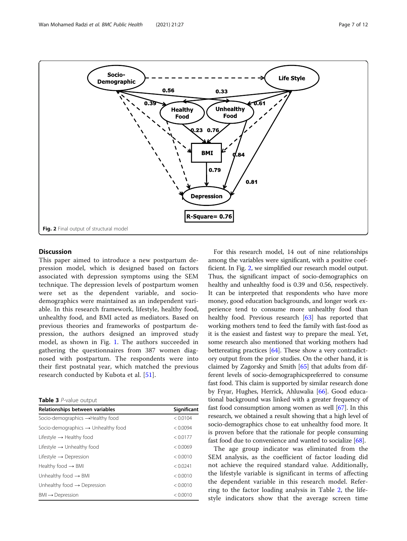<span id="page-6-0"></span>

# **Discussion**

This paper aimed to introduce a new postpartum depression model, which is designed based on factors associated with depression symptoms using the SEM technique. The depression levels of postpartum women were set as the dependent variable, and sociodemographics were maintained as an independent variable. In this research framework, lifestyle, healthy food, unhealthy food, and BMI acted as mediators. Based on previous theories and frameworks of postpartum depression, the authors designed an improved study model, as shown in Fig. [1](#page-2-0). The authors succeeded in gathering the questionnaires from 387 women diagnosed with postpartum. The respondents were into their first postnatal year, which matched the previous research conducted by Kubota et al. [[51\]](#page-10-0).

| Relationships between variables                 | Significant |
|-------------------------------------------------|-------------|
| Socio-demographics $\rightarrow$ Healthy food   | < 0.0104    |
| Socio-demographics $\rightarrow$ Unhealthy food | < 0.0094    |
| Lifestyle $\rightarrow$ Healthy food            | < 0.0177    |
| Lifestyle $\rightarrow$ Unhealthy food          | < 0.0069    |
| Lifestyle $\rightarrow$ Depression              | < 0.0010    |
| Healthy food $\rightarrow$ BMI                  | < 0.0241    |
| Unhealthy food $\rightarrow$ BMI                | < 0.0010    |
| Unhealthy food $\rightarrow$ Depression         | < 0.0010    |
| $BMI \rightarrow Depression$                    | < 0.0010    |
|                                                 |             |

For this research model, 14 out of nine relationships among the variables were significant, with a positive coefficient. In Fig. 2, we simplified our research model output. Thus, the significant impact of socio-demographics on healthy and unhealthy food is 0.39 and 0.56, respectively. It can be interpreted that respondents who have more money, good education backgrounds, and longer work experience tend to consume more unhealthy food than healthy food. Previous research [\[63\]](#page-10-0) has reported that working mothers tend to feed the family with fast-food as it is the easiest and fastest way to prepare the meal. Yet, some research also mentioned that working mothers had bettereating practices [\[64\]](#page-10-0). These show a very contradictory output from the prior studies. On the other hand, it is claimed by Zagorsky and Smith [[65](#page-10-0)] that adults from different levels of socio-demographicspreferred to consume fast food. This claim is supported by similar research done by Fryar, Hughes, Herrick, Ahluwalia [\[66\]](#page-10-0). Good educational background was linked with a greater frequency of fast food consumption among women as well [[67](#page-10-0)]. In this research, we obtained a result showing that a high level of socio-demographics chose to eat unhealthy food more. It is proven before that the rationale for people consuming fast food due to convenience and wanted to socialize [[68](#page-10-0)].

The age group indicator was eliminated from the SEM analysis, as the coefficient of factor loading did not achieve the required standard value. Additionally, the lifestyle variable is significant in terms of affecting the dependent variable in this research model. Referring to the factor loading analysis in Table [2,](#page-5-0) the lifestyle indicators show that the average screen time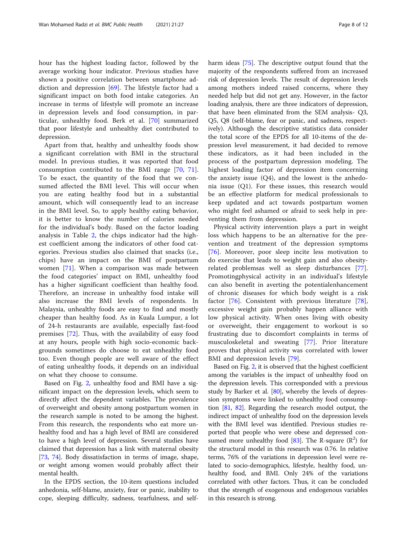hour has the highest loading factor, followed by the average working hour indicator. Previous studies have shown a positive correlation between smartphone addiction and depression [[69\]](#page-10-0). The lifestyle factor had a significant impact on both food intake categories. An increase in terms of lifestyle will promote an increase in depression levels and food consumption, in particular, unhealthy food. Berk et al. [[70\]](#page-10-0) summarized that poor lifestyle and unhealthy diet contributed to depression.

Apart from that, healthy and unhealthy foods show a significant correlation with BMI in the structural model. In previous studies, it was reported that food consumption contributed to the BMI range [[70,](#page-10-0) [71](#page-10-0)]. To be exact, the quantity of the food that we consumed affected the BMI level. This will occur when you are eating healthy food but in a substantial amount, which will consequently lead to an increase in the BMI level. So, to apply healthy eating behavior, it is better to know the number of calories needed for the individual's body. Based on the factor loading analysis in Table [2,](#page-5-0) the chips indicator had the highest coefficient among the indicators of other food categories. Previous studies also claimed that snacks (i.e., chips) have an impact on the BMI of postpartum women [\[71](#page-10-0)]. When a comparison was made between the food categories' impact on BMI, unhealthy food has a higher significant coefficient than healthy food. Therefore, an increase in unhealthy food intake will also increase the BMI levels of respondents. In Malaysia, unhealthy foods are easy to find and mostly cheaper than healthy food. As in Kuala Lumpur, a lot of 24-h restaurants are available, especially fast-food premises [[72](#page-10-0)]. Thus, with the availability of easy food at any hours, people with high socio-economic backgrounds sometimes do choose to eat unhealthy food too. Even though people are well aware of the effect of eating unhealthy foods, it depends on an individual on what they choose to consume.

Based on Fig. [2](#page-6-0), unhealthy food and BMI have a significant impact on the depression levels, which seem to directly affect the dependent variables. The prevalence of overweight and obesity among postpartum women in the research sample is noted to be among the highest. From this research, the respondents who eat more unhealthy food and has a high level of BMI are considered to have a high level of depression. Several studies have claimed that depression has a link with maternal obesity [[73,](#page-10-0) [74](#page-10-0)]. Body dissatisfaction in terms of image, shape, or weight among women would probably affect their mental health.

In the EPDS section, the 10-item questions included anhedonia, self-blame, anxiety, fear or panic, inability to cope, sleeping difficulty, sadness, tearfulness, and selfharm ideas [\[75\]](#page-10-0). The descriptive output found that the majority of the respondents suffered from an increased risk of depression levels. The result of depression levels among mothers indeed raised concerns, where they needed help but did not get any. However, in the factor loading analysis, there are three indicators of depression, that have been eliminated from the SEM analysis- Q3, Q5, Q8 (self-blame, fear or panic, and sadness, respectively). Although the descriptive statistics data consider the total score of the EPDS for all 10-items of the depression level measurement, it had decided to remove these indicators, as it had been included in the process of the postpartum depression modeling. The highest loading factor of depression item concerning the anxiety issue  $(Q4)$ , and the lowest is the anhedonia issue (Q1). For these issues, this research would be an effective platform for medical professionals to keep updated and act towards postpartum women who might feel ashamed or afraid to seek help in preventing them from depression.

Physical activity intervention plays a part in weight loss which happens to be an alternative for the prevention and treatment of the depression symptoms [[76\]](#page-10-0). Moreover, poor sleep incite less motivation to do exercise that leads to weight gain and also obesityrelated problemsas well as sleep disturbances [\[77](#page-11-0)]. Promotingphysical activity in an individual's lifestyle can also benefit in averting the potentialenhancement of chronic diseases for which body weight is a risk factor [\[76](#page-10-0)]. Consistent with previous literature [\[78](#page-11-0)], excessive weight gain probably happen alliance with low physical activity. When ones living with obesity or overweight, their engagement to workout is so frustrating due to discomfort complaints in terms of musculoskeletal and sweating [[77\]](#page-11-0). Prior literature proves that physical activity was correlated with lower BMI and depression levels [[79\]](#page-11-0).

Based on Fig. [2](#page-6-0), it is observed that the highest coefficient among the variables is the impact of unhealthy food on the depression levels. This corresponded with a previous study by Barker et al. [[80](#page-11-0)], whereby the levels of depression symptoms were linked to unhealthy food consumption [\[81,](#page-11-0) [82\]](#page-11-0). Regarding the research model output, the indirect impact of unhealthy food on the depression levels with the BMI level was identified. Previous studies reported that people who were obese and depressed con-sumed more unhealthy food [[83](#page-11-0)]. The R-square  $(R^2)$  for the structural model in this research was 0.76. In relative terms, 76% of the variations in depression level were related to socio-demographics, lifestyle, healthy food, unhealthy food, and BMI. Only 24% of the variations correlated with other factors. Thus, it can be concluded that the strength of exogenous and endogenous variables in this research is strong.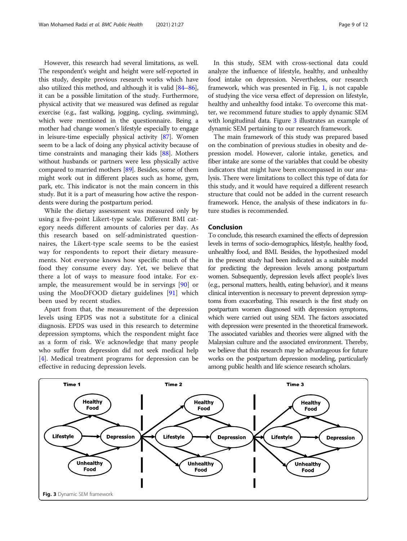However, this research had several limitations, as well. The respondent's weight and height were self-reported in this study, despite previous research works which have also utilized this method, and although it is valid [\[84](#page-11-0)–[86](#page-11-0)], it can be a possible limitation of the study. Furthermore, physical activity that we measured was defined as regular exercise (e.g., fast walking, jogging, cycling, swimming), which were mentioned in the questionnaire. Being a mother had change women's lifestyle especially to engage in leisure-time especially physical activity [\[87\]](#page-11-0). Women seem to be a lack of doing any physical activity because of time constraints and managing their kids [\[88\]](#page-11-0). Mothers without husbands or partners were less physically active compared to married mothers [\[89](#page-11-0)]. Besides, some of them might work out in different places such as home, gym, park, etc. This indicator is not the main concern in this study. But it is a part of measuring how active the respondents were during the postpartum period.

While the dietary assessment was measured only by using a five-point Likert-type scale. Different BMI category needs different amounts of calories per day. As this research based on self-administrated questionnaires, the Likert-type scale seems to be the easiest way for respondents to report their dietary measurements. Not everyone knows how specific much of the food they consume every day. Yet, we believe that there a lot of ways to measure food intake. For example, the measurement would be in servings [[90](#page-11-0)] or using the MooDFOOD dietary guidelines [\[91](#page-11-0)] which been used by recent studies.

Apart from that, the measurement of the depression levels using EPDS was not a substitute for a clinical diagnosis. EPDS was used in this research to determine depression symptoms, which the respondent might face as a form of risk. We acknowledge that many people who suffer from depression did not seek medical help [[4\]](#page-9-0). Medical treatment programs for depression can be effective in reducing depression levels.

In this study, SEM with cross-sectional data could analyze the influence of lifestyle, healthy, and unhealthy food intake on depression. Nevertheless, our research framework, which was presented in Fig. [1](#page-2-0), is not capable of studying the vice versa effect of depression on lifestyle, healthy and unhealthy food intake. To overcome this matter, we recommend future studies to apply dynamic SEM with longitudinal data. Figure 3 illustrates an example of dynamic SEM pertaining to our research framework.

The main framework of this study was prepared based on the combination of previous studies in obesity and depression model. However, calorie intake, genetics, and fiber intake are some of the variables that could be obesity indicators that might have been encompassed in our analysis. There were limitations to collect this type of data for this study, and it would have required a different research structure that could not be added in the current research framework. Hence, the analysis of these indicators in future studies is recommended.

# Conclusion

To conclude, this research examined the effects of depression levels in terms of socio-demographics, lifestyle, healthy food, unhealthy food, and BMI. Besides, the hypothesized model in the present study had been indicated as a suitable model for predicting the depression levels among postpartum women. Subsequently, depression levels affect people's lives (e.g., personal matters, health, eating behavior), and it means clinical intervention is necessary to prevent depression symptoms from exacerbating. This research is the first study on postpartum women diagnosed with depression symptoms, which were carried out using SEM. The factors associated with depression were presented in the theoretical framework. The associated variables and theories were aligned with the Malaysian culture and the associated environment. Thereby, we believe that this research may be advantageous for future works on the postpartum depression modeling, particularly among public health and life science research scholars.

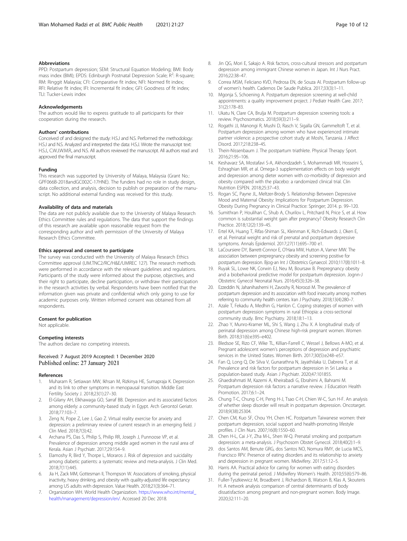#### <span id="page-9-0"></span>Abbreviations

PPD: Postpartum depression; SEM: Structural Equation Modeling; BMI: Body mass index (BMI); EPDS: Edinburgh Postnatal Depression Scale; R<sup>2</sup>: R-square; RM: Ringgit Malaysia; CFI: Comparative fit index; NFI: Normed fit index; RFI: Relative fit index; IFI: Incremental fit index; GFI: Goodness of fit index; TLI: Tucker-Lewis index

#### Acknowledgements

The authors would like to express gratitude to all participants for their cooperation during the research.

#### Authors' contributions

Conceived of and designed the study: H.S.J and N.S. Performed the methodology: H.S.J and N.S. Analyzed and interpreted the data: H.S.J. Wrote the manuscript text: H.S.J., C.W.J.W.M.R., and N.S. All authors reviewed the manuscript. All authors read and approved the final manuscript.

#### Funding

This research was supported by University of Malaya, Malaysia (Grant No.: GPF066B-2018andGC002C-17HNE). The funders had no role in study design, data collection, and analysis, decision to publish or preparation of the manuscript. No additional external funding was received for this study.

#### Availability of data and materials

The data are not publicly available due to the University of Malaya Research Ethics Committee rules and regulations. The data that support the findings of this research are available upon reasonable request from the corresponding author and with permission of the University of Malaya Research Ethics Committee.

#### Ethics approval and consent to participate

The survey was conducted with the University of Malaya Research Ethics Committee approval (UM.TNC2/RC/H&E/UMREC 127). The research methods were performed in accordance with the relevant guidelines and regulations. Participants of the study were informed about the purpose, objectives, and their right to participate, decline participation, or withdraw their participation in the research activities by verbal. Respondents have been notified that the information given was private and confidential which only going to use for academic purposes only. Written informed consent was obtained from all respondents.

#### Consent for publication

Not applicable.

#### Competing interests

The authors declare no competing interests.

#### Received: 7 August 2019 Accepted: 1 December 2020 Published online: 27 January 2021

#### References

- 1. Muharam R, Setiawan MW, Ikhsan M, Rizkinya HE, Sumapraja K. Depression and its link to other symptoms in menopausal transition. Middle East Fertility Society J. 2018;23(1):27–30.
- 2. El-Gilany AH, Elkhawaga GO, Sarraf BB. Depression and its associated factors among elderly: a community-based study in Egypt. Arch Gerontol Geriatr. 2018;77:103–7.
- 3. Zeng N, Pope Z, Lee J, Gao Z. Virtual reality exercise for anxiety and depression: a preliminary review of current research in an emerging field. J Clin Med. 2018;7(3):42.
- 4. Archana PS, Das S, Philip S, Philip RR, Joseph J, Punnoose VP, et al. Prevalence of depression among middle aged women in the rural area of Kerala. Asian J Psychiatr. 2017;29:154–9.
- 5. Elamoshy R, Bird Y, Thorpe L, Moraros J. Risk of depression and suicidality among diabetic patients: a systematic review and meta-analysis. J Clin Med. 2018;7(11):445.
- Jia H, Zack MM, Gottesman II, Thompson W. Associations of smoking, physical inactivity, heavy drinking, and obesity with quality-adjusted life expectancy among US adults with depression. Value Health. 2018;21(3):364–71.
- 7. Organization WH. World Health Organization. [https://www.who.int/mental\\_](https://www.who.int/mental_health/management/depression/en/) [health/management/depression/en/.](https://www.who.int/mental_health/management/depression/en/) Accessed 20 Dec 2018.
- 8. Jin QG, Mori E, Sakajo A. Risk factors, cross-cultural stressors and postpartum depression among immigrant Chinese women in Japan. Int J Nurs Pract. 2016;22:38–47.
- 9. Correa MSM, Feliciano KVD, Pedrosa EN, de Souza AI. Postpartum follow-up of women's health. Cadernos De Saude Publica. 2017;33(3):1–11.
- 10. Mgonja S, Schoening A. Postpartum depression screening at well-child appointments: a quality improvement project. J Pediatr Health Care. 2017; 31(2):178–83.
- 11. Ukatu N, Clare CA, Brulja M. Postpartum depression screening tools: a review. Psychosomatics. 2018;59(3):211–9.
- 12. Rogathi JJ, Manongi R, Mushi D, Rasch V, Sigalla GN, Gammeltoft T, et al. Postpartum depression among women who have experienced intimate partner violence: a prospective cohort study at Moshi, Tanzania. J Affect Disord. 2017;218:238–45.
- 13. Thein-Nissenbaum J. The postpartum triathlete. Physical Therapy Sport. 2016;21:95–106.
- 14. Keshavarz SA, Mostafavi S-A, Akhondzadeh S, Mohammadi MR, Hosseini S, Eshraghian MR, et al. Omega-3 supplementation effects on body weight and depression among dieter women with co-morbidity of depression and obesity compared with the placebo: a randomized clinical trial. Clin Nutrition ESPEN. 2018;25:37–43.
- 15. Rogan SC, Payne JL, Meltzer-Brody S. Relationship Between Depressive Mood and Maternal Obesity: Implications for Postpartum Depression. Obesity During Pregnancy in Clinical Practice: Springer; 2014. p. 99–120.
- 16. Sumithran P, Houlihan C, Shub A, Churilov L, Pritchard N, Price S, et al. How common is substantial weight gain after pregnancy? Obesity Research Clin Practice. 2018;12(2):139–45.
- 17. Ertel KA, Huang T, Rifas-Shiman SL, Kleinman K, Rich-Edwards J, Oken E, et al. Perinatal weight and risk of prenatal and postpartum depressive symptoms. Annals Epidemiol. 2017;27(11):695–700 e1.
- 18. LaCoursiere DY, Barrett-Connor E, O'Hara MW, Hutton A, Varner MW. The association between prepregnancy obesity and screening positive for postpartum depression. Bjog-an Int J Obstetrics Gynaecol. 2010;117(8):1011–8.
- 19. Ruyak SL, Lowe NK, Corwin EJ, Neu M, Boursaw B. Prepregnancy obesity and a biobehavioral predictive model for postpartum depression. Jognn-J Obstetric Gynecol Neonatal Nurs. 2016;45(3):326–38.
- 20. Ezzeddin N, Jahanihashemi H, Zavoshy R, Noroozi M. The prevalence of postpartum depression and its association with food insecurity among mothers referring to community health centers. Iran J Psychiatry. 2018;13(4):280–7.
- 21. Azale T, Fekadu A, Medhin G, Hanlon C. Coping strategies of women with postpartum depression symptoms in rural Ethiopia: a cross-sectional community study. Bmc Psychiatry. 2018;18:1–13.
- 22. Zhao Y, Munro-Kramer ML, Shi S, Wang J, Zhu X. A longitudinal study of perinatal depression among Chinese high-risk pregnant women. Women Birth. 2018;31(6):e395–e402.
- 23. Bledsoe SE, Rizo CF, Wike TL, Killian-Farrell C, Wessel J, Bellows A-MO, et al. Pregnant adolescent women's perceptions of depression and psychiatric services in the United States. Women Birth. 2017;30(5):e248–e57.
- 24. Fan Q, Long Q, De Silva V, Gunarathna N, Jayathilaka U, Dabrera T, et al. Prevalence and risk factors for postpartum depression in Sri Lanka: a population-based study. Asian J Psychiatr. 2020;47:101855.
- 25. Ghaedrahmati M, Kazemi A, Kheirabadi G, Ebrahimi A, Bahrami M. Postpartum depression risk factors: a narrative review. J Education Health Promotion. 2017;6:1–24.
- 26. Chung T-C, Chung C-H, Peng H-J, Tsao C-H, Chien W-C, Sun H-F. An analysis of whether sleep disorder will result in postpartum depression. Oncotarget. 2018;9(38):25304.
- 27. Chen CM, Kuo SF, Chou YH, Chen HC. Postpartum Taiwanese women: their postpartum depression, social support and health-promoting lifestyle profiles. J Clin Nurs. 2007;16(8):1550–60.
- 28. Chen H-L, Cai J-Y, Zha M-L, Shen W-Q. Prenatal smoking and postpartum depression: a meta-analysis. J Psychosom Obstet Gynecol. 2018;40(2):1–9.
- 29. dos Santos AM, Benute GRG, dos Santos NO, Nomura RMY, de Lucia MCS, Francisco RPV. Presence of eating disorders and its relationship to anxiety and depression in pregnant women. Midwifery. 2017;51:12–5.
- 30. Harris AA. Practical advice for caring for women with eating disorders during the perinatal period. J Midwifery Women's Health. 2010;55(6):579–86.
- 31. Fuller-Tyszkiewicz M, Broadbent J, Richardson B, Watson B, Klas A, Skouteris H. A network analysis comparison of central determinants of body dissatisfaction among pregnant and non-pregnant women. Body Image. 2020;32:111–20.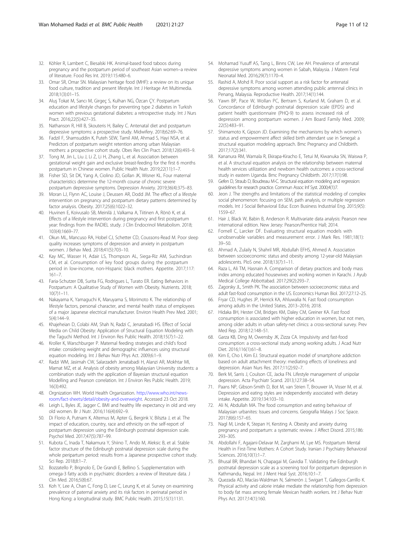- <span id="page-10-0"></span>32. Köhler R, Lambert C, Biesalski HK. Animal-based food taboos during pregnancy and the postpartum period of southeast Asian women–a review of literature. Food Res Int. 2019;115:480–6.
- 33. Omar SR, Omar SN. Malaysian heritage food (MHF): a review on its unique food culture, tradition and present lifestyle. Int J Heritage Art Multimedia. 2018;1(3):01–15.
- 34. Aluş Tokat M, Sancı M, Girgeç S, Kulhan NG, Özcan ÇY. Postpartum education and lifestyle changes for preventing type 2 diabetes in Turkish women with previous gestational diabetes: a retrospective study. Int J Nurs Pract. 2016;22(5):427–35.
- 35. Nathanson R, Hill B, Skouteris H, Bailey C. Antenatal diet and postpartum depressive symptoms: a prospective study. Midwifery. 2018;62:69–76.
- 36. Fadzil F, Shamsuddin K, Puteh SEW, Tamil AM, Ahmad S, Hayi NSA, et al. Predictors of postpartum weight retention among urban Malaysian mothers: a prospective cohort study. Obes Res Clin Pract. 2018;12(6):493–9.
- 37. Tong M, Jin L, Liu J, Li Z, Li H, Zhang L, et al. Association between gestational weight gain and exclusive breast-feeding for the first 6 months postpartum in Chinese women. Public Health Nutr. 2019;22(11):1–7.
- 38. Fisher SD, Sit DK, Yang A, Ciolino JD, Gollan JK, Wisner KL. Four maternal characteristics determine the 12-month course of chronic severe postpartum depressive symptoms. Depression Anxiety. 2019;36(4):375–83.
- 39. Moran LJ, Flynn AC, Louise J, Deussen AR, Dodd JM. The effect of a lifestyle intervention on pregnancy and postpartum dietary patterns determined by factor analysis. Obesity. 2017;25(6):1022–32.
- Huvinen E, Koivusalo SB, Meinilä J, Valkama A, Tiitinen A, Rönö K, et al. Effects of a lifestyle intervention during pregnancy and first postpartum year: findings from the RADIEL study. J Clin Endocrinol Metabolism. 2018; 103(4):1669–77.
- 41. Okun ML, Mancuso RA, Hobel CJ, Schetter CD, Coussons-Read M. Poor sleep quality increases symptoms of depression and anxiety in postpartum women. J Behav Med. 2018;41(5):703–10.
- 42. Kay MC, Wasser H, Adair LS, Thompson AL, Siega-Riz AM, Suchindran CM, et al. Consumption of key food groups during the postpartum period in low-income, non-Hispanic black mothers. Appetite. 2017;117: 161–7.
- 43. Faria-Schutzer DB, Surita FG, Rodrigues L, Turato ER. Eating Behaviors in Postpartum: A Qualitative Study of Women with Obesity. Nutrients. 2018; 10(7)1–11.
- 44. Nakayama K, Yamaguchi K, Maruyama S, Morimoto K. The relationship of lifestyle factors, personal character, and mental health status of employees of a major Japanese electrical manufacturer. Environ Health Prev Med. 2001; 5(4):144–9.
- 45. Khajeheian D, Colabi AM, Shah N, Radzi C, Jenatabadi HS. Effect of Social Media on Child Obesity: Application of Structural Equation Modeling with the Taguchi Method. Int J Environ Res Public Health. 2018;15(7):1–22.
- 46. Kroller K, Warschburger P. Maternal feeding strategies and child's food intake: considering weight and demographic influences using structural equation modeling. Int J Behav Nutr Phys Act. 2009;6:1–9.
- 47. Radzi WM, Jasimah CW, Salarzadeh Jenatabadi H, Alanzi AR, Mokhtar MI, Mamat MZ, et al. Analysis of obesity among Malaysian University students: a combination study with the application of Bayesian structural equation Modelling and Pearson correlation. Int J Environ Res Public Health. 2019; 16(3):492.
- 48. Orgnization WH. World Health Organization. [http://www.who.int/news](http://www.who.int/news-room/fact-sheets/detail/obesity-and-overweight)[room/fact-sheets/detail/obesity-and-overweight](http://www.who.int/news-room/fact-sheets/detail/obesity-and-overweight). Accessed 23 Oct 2018.
- 49. Leigh L, Byles JE, Jagger C. BMI and healthy life expectancy in old and very old women. Br J Nutr. 2016;116(4):692–9.
- 50. Di Florio A, Putnam K, Altemus M, Apter G, Bergink V, Bilszta J, et al. The impact of education, country, race and ethnicity on the self-report of postpartum depression using the Edinburgh postnatal depression scale. Psychol Med. 2017;47(5):787–99.
- 51. Kubota C, Inada T, Nakamura Y, Shiino T, Ando M, Aleksic B, et al. Stable factor structure of the Edinburgh postnatal depression scale during the whole peripartum period: results from a Japanese prospective cohort study. Sci Rep. 2018;8:1–7.
- 52. Bozzatello P, Brignolo E, De Grandi E, Bellino S. Supplementation with omega-3 fatty acids in psychiatric disorders: a review of literature data. J Clin Med. 2016;5(8):67.
- 53. Koh Y, Lee A, Chan C, Fong D, Lee C, Leung K, et al. Survey on examining prevalence of paternal anxiety and its risk factors in perinatal period in Hong Kong: a longitudinal study. BMC Public Health. 2015;15(1):1131.
- 54. Mohamad Yusuff AS, Tang L, Binns CW, Lee AH. Prevalence of antenatal depressive symptoms among women in Sabah, Malaysia. J Matern Fetal Neonatal Med. 2016;29(7):1170–4.
- 55. Rashid A, Mohd R. Poor social support as a risk factor for antenatal depressive symptoms among women attending public antennal clinics in Penang, Malaysia. Reproductive Health. 2017;14(1):144.
- Yawn BP, Pace W, Wollan PC, Bertram S, Kurland M, Graham D, et al. Concordance of Edinburgh postnatal depression scale (EPDS) and patient health questionnaire (PHQ-9) to assess increased risk of depression among postpartum women. J Am Board Family Med. 2009; 22(5):483–91.
- 57. Shimamoto K, Gipson JD. Examining the mechanisms by which women's status and empowerment affect skilled birth attendant use in Senegal: a structural equation modeling approach. Bmc Pregnancy and Childbirth. 2017;17(2):341.
- 58. Kananura RM, Wamala R, Ekirapa-Kiracho E, Tetui M, Kiwanuka SN, Waiswa P, et al. A structural equation analysis on the relationship between maternal health services utilization and newborn health outcomes: a cross-sectional study in eastern Uganda. Bmc Pregnancy Childbirth. 2017;17(1):98.
- 59. Gefen D, Straub D, Boudreau M-C. Structural equation modeling and regression: guidelines for research practice. Commun Assoc Inf Syst. 2000;4(1):7.
- 60. Jeon J. The strengths and limitations of the statistical modeling of complex social phenomenon: focusing on SEM, path analysis, or multiple regression models. Int J Social Behavioral Educ Econ Business Industrial Eng. 2015;9(5): 1559–67.
- 61. Hair J, Black W, Babin B, Anderson R. Multivariate data analysis: Pearson new international edition. New Jersey: Pearson/Prentice Hall; 2014.
- 62. Fornell C, Larcker DF. Evaluating structural equation models with unobservable variables and measurement error. J Mark Res. 1981;18(1): 39–50.
- 63. Ahmad A, Zulaily N, Shahril MR, Abdullah EFHS, Ahmed A. Association between socioeconomic status and obesity among 12-year-old Malaysian adolescents. PloS one. 2018;13(7):1–11.
- 64. Raza L, Ali TM, Hasnain A. Comparison of dietary practices and body mass index among educated housewives and working women in Karachi. J Ayub Medical College Abbottabad. 2017;29(2):293–7.
- 65. Zagorsky JL, Smith PK. The association between socioeconomic status and adult fast-food consumption in the US. Economics Human Biol. 2017;27:12–25.
- 66. Fryar CD, Hughes JP, Herrick KA, Ahluwalia N. Fast food consumption among adults in the United States, 2013–2016; 2018.
- 67. Hidaka BH, Hester CM, Bridges KM, Daley CM, Greiner KA. Fast food consumption is associated with higher education in women, but not men, among older adults in urban safety-net clinics: a cross-sectional survey. Prev Med Rep. 2018;12:148–51.
- 68. Garza KB, Ding M, Owensby JK, Zizza CA. Impulsivity and fast-food consumption: a cross-sectional study among working adults. J Acad Nutr Diet. 2016;116(1):61–8.
- 69. Kim E, Cho I, Kim EJ. Structural equation model of smartphone addiction based on adult attachment theory: mediating effects of loneliness and depression. Asian Nurs Res. 2017;11(2):92–7.
- 70. Berk M, Sarris J, Coulson CE, Jacka FN. Lifestyle management of unipolar depression. Acta Psychiatr Scand. 2013;127:38–54.
- 71. Paans NP, Gibson-Smith D, Bot M, van Strien T, Brouwer IA, Visser M, et al. Depression and eating styles are independently associated with dietary intake. Appetite. 2019;134:103–10.
- 72. Ali N, Abdullah MA. The food consumption and eating behaviour of Malaysian urbanites: Issues and concerns. Geografia Malays J Soc Space. 2017;8(6):157–65.
- 73. Nagl M, Linde K, Stepan H, Kersting A. Obesity and anxiety during pregnancy and postpartum: a systematic review. J Affect Disord. 2015;186: 293–305.
- 74. Abdollahi F, Agajani-Delavar M, Zarghami M, Lye MS. Postpartum Mental Health in First-Time Mothers: A Cohort Study. Iranian J Psychiatry Behavioral Sciences. 2016;10(1):1–7.
- 75. Bhusal BR, Bhandari N, Chapagai M, Gavidia T. Validating the Edinburgh postnatal depression scale as a screening tool for postpartum depression in Kathmandu, Nepal. Int J Ment Heal Syst. 2016;10:1–7.
- 76. Quezada AD, Macías-Waldman N, Salmerón J, Swigart T, Gallegos-Carrillo K. Physical activity and calorie intake mediate the relationship from depression to body fat mass among female Mexican health workers. Int J Behav Nutr Phys Act. 2017;14(1):160.